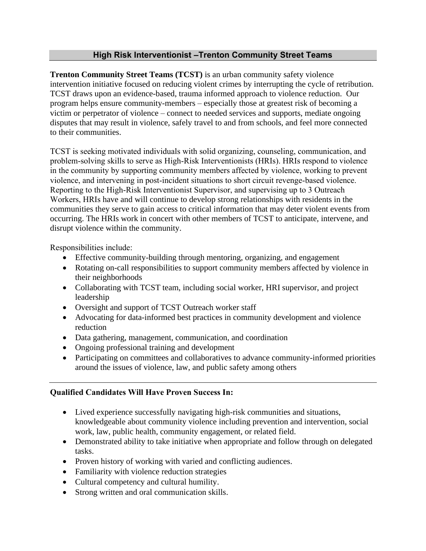## **High Risk Interventionist –Trenton Community Street Teams**

**Trenton Community Street Teams (TCST)** is an urban community safety violence intervention initiative focused on reducing violent crimes by interrupting the cycle of retribution. TCST draws upon an evidence-based, trauma informed approach to violence reduction. Our program helps ensure community-members – especially those at greatest risk of becoming a victim or perpetrator of violence – connect to needed services and supports, mediate ongoing disputes that may result in violence, safely travel to and from schools, and feel more connected to their communities.

TCST is seeking motivated individuals with solid organizing, counseling, communication, and problem-solving skills to serve as High-Risk Interventionists (HRIs). HRIs respond to violence in the community by supporting community members affected by violence, working to prevent violence, and intervening in post-incident situations to short circuit revenge-based violence. Reporting to the High-Risk Interventionist Supervisor, and supervising up to 3 Outreach Workers, HRIs have and will continue to develop strong relationships with residents in the communities they serve to gain access to critical information that may deter violent events from occurring. The HRIs work in concert with other members of TCST to anticipate, intervene, and disrupt violence within the community.

Responsibilities include:

- Effective community-building through mentoring, organizing, and engagement
- Rotating on-call responsibilities to support community members affected by violence in their neighborhoods
- Collaborating with TCST team, including social worker, HRI supervisor, and project leadership
- Oversight and support of TCST Outreach worker staff
- Advocating for data-informed best practices in community development and violence reduction
- Data gathering, management, communication, and coordination
- Ongoing professional training and development
- Participating on committees and collaboratives to advance community-informed priorities around the issues of violence, law, and public safety among others

## **Qualified Candidates Will Have Proven Success In:**

- Lived experience successfully navigating high-risk communities and situations, knowledgeable about community violence including prevention and intervention, social work, law, public health, community engagement, or related field.
- Demonstrated ability to take initiative when appropriate and follow through on delegated tasks.
- Proven history of working with varied and conflicting audiences.
- Familiarity with violence reduction strategies
- Cultural competency and cultural humility.
- Strong written and oral communication skills.